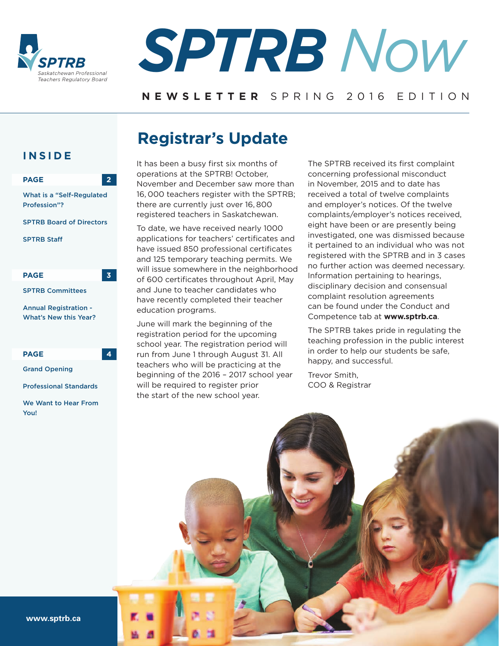



#### **NEWSLETTER** SPRING 2016 EDITION

## **Registrar's Update**

#### **INSIDE**



We Want to Hear From You!

It has been a busy first six months of operations at the SPTRB! October, November and December saw more than 16, 000 teachers register with the SPTRB; there are currently just over 16, 800 registered teachers in Saskatchewan.

To date, we have received nearly 1000 applications for teachers' certificates and have issued 850 professional certificates and 125 temporary teaching permits. We will issue somewhere in the neighborhood of 600 certificates throughout April, May and June to teacher candidates who have recently completed their teacher education programs.

June will mark the beginning of the registration period for the upcoming school year. The registration period will run from June 1 through August 31. All teachers who will be practicing at the beginning of the 2016 – 2017 school year will be required to register prior the start of the new school year.

The SPTRB received its first complaint concerning professional misconduct in November, 2015 and to date has received a total of twelve complaints and employer's notices. Of the twelve complaints/employer's notices received, eight have been or are presently being investigated, one was dismissed because it pertained to an individual who was not registered with the SPTRB and in 3 cases no further action was deemed necessary. Information pertaining to hearings, disciplinary decision and consensual complaint resolution agreements can be found under the Conduct and Competence tab at **www.sptrb.ca**.

The SPTRB takes pride in regulating the teaching profession in the public interest in order to help our students be safe, happy, and successful.

Trevor Smith, COO & Registrar



Professional Standards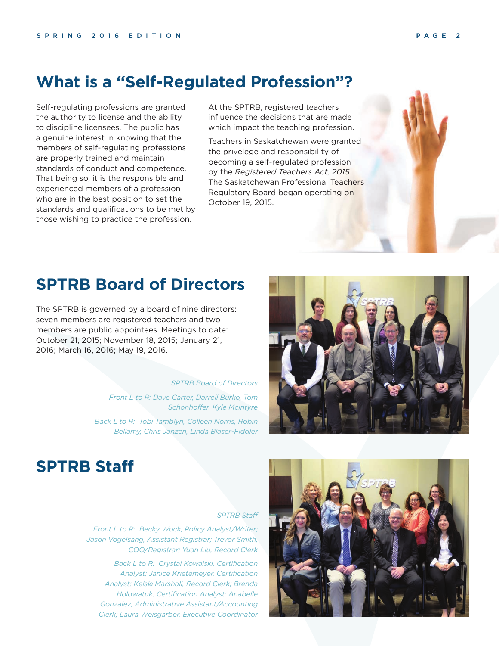### **What is a "Self-Regulated Profession"?**

Self-regulating professions are granted the authority to license and the ability to discipline licensees. The public has a genuine interest in knowing that the members of self-regulating professions are properly trained and maintain standards of conduct and competence. That being so, it is the responsible and experienced members of a profession who are in the best position to set the standards and qualifications to be met by those wishing to practice the profession.

At the SPTRB, registered teachers influence the decisions that are made which impact the teaching profession.

Teachers in Saskatchewan were granted the privelege and responsibility of becoming a self-regulated profession by the *Registered Teachers Act, 2015.* The Saskatchewan Professional Teachers Regulatory Board began operating on October 19, 2015.

### **SPTRB Board of Directors**

The SPTRB is governed by a board of nine directors: seven members are registered teachers and two members are public appointees. Meetings to date: October 21, 2015; November 18, 2015; January 21, 2016; March 16, 2016; May 19, 2016.

> *SPTRB Board of Directors Front L to R: Dave Carter, Darrell Burko, Tom Schonhoffer, Kyle McIntyre Back L to R: Tobi Tamblyn, Colleen Norris, Robin Bellamy, Chris Janzen, Linda Blaser-Fiddler*



### **SPTRB Staff**

#### *SPTRB Staff*

*Front L to R: Becky Wock, Policy Analyst/Writer; Jason Vogelsang, Assistant Registrar; Trevor Smith, COO/Registrar; Yuan Liu, Record Clerk*

*Back L to R: Crystal Kowalski, Certification Analyst; Janice Krietemeyer, Certification Analyst; Kelsie Marshall, Record Clerk; Brenda Holowatuk, Certification Analyst; Anabelle Gonzalez, Administrative Assistant/Accounting Clerk; Laura Weisgarber, Executive Coordinator*

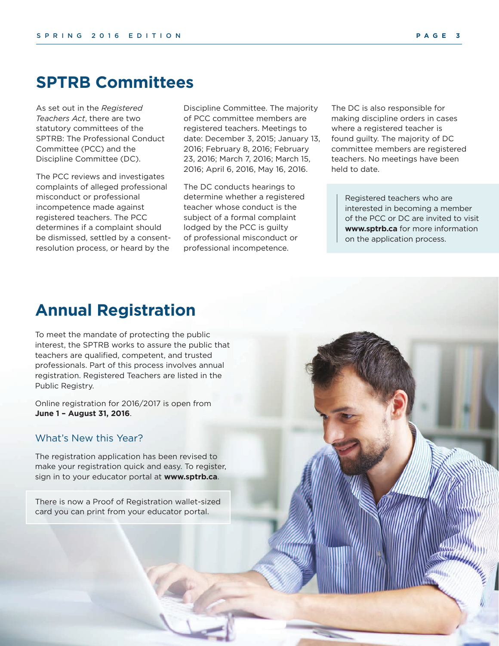### **SPTRB Committees**

As set out in the *Registered Teachers Act*, there are two statutory committees of the SPTRB: The Professional Conduct Committee (PCC) and the Discipline Committee (DC).

The PCC reviews and investigates complaints of alleged professional misconduct or professional incompetence made against registered teachers. The PCC determines if a complaint should be dismissed, settled by a consentresolution process, or heard by the

Discipline Committee. The majority of PCC committee members are registered teachers. Meetings to date: December 3, 2015; January 13, 2016; February 8, 2016; February 23, 2016; March 7, 2016; March 15, 2016; April 6, 2016, May 16, 2016.

The DC conducts hearings to determine whether a registered teacher whose conduct is the subject of a formal complaint lodged by the PCC is guilty of professional misconduct or professional incompetence.

The DC is also responsible for making discipline orders in cases where a registered teacher is found guilty. The majority of DC committee members are registered teachers. No meetings have been held to date.

Registered teachers who are interested in becoming a member of the PCC or DC are invited to visit **www.sptrb.ca** for more information on the application process.

## **Annual Registration**

To meet the mandate of protecting the public interest, the SPTRB works to assure the public that teachers are qualified, competent, and trusted professionals. Part of this process involves annual registration. Registered Teachers are listed in the Public Registry.

Online registration for 2016/2017 is open from **June 1 – August 31, 2016**.

#### What's New this Year?

The registration application has been revised to make your registration quick and easy. To register, sign in to your educator portal at **www.sptrb.ca**.

There is now a Proof of Registration wallet-sized card you can print from your educator portal.